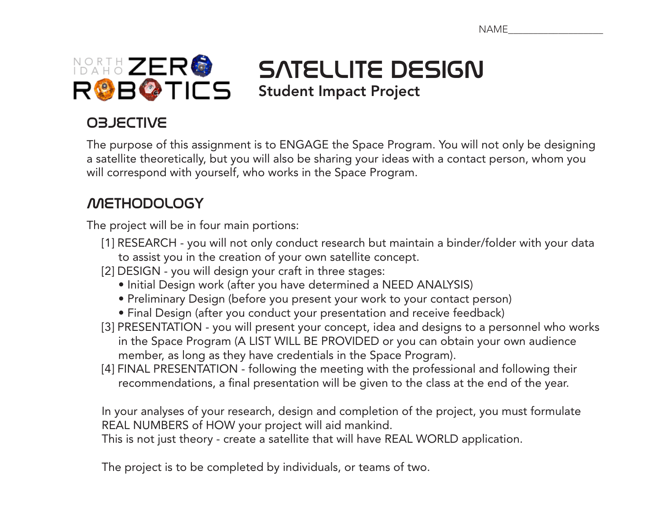

SATELLITE DESIGN Student Impact Project

### OBJECTIVE

The purpose of this assignment is to ENGAGE the Space Program. You will not only be designing a satellite theoretically, but you will also be sharing your ideas with a contact person, whom you will correspond with yourself, who works in the Space Program.

#### METHODOLOGY

The project will be in four main portions:

- [1] RESEARCH you will not only conduct research but maintain a binder/folder with your data to assist you in the creation of your own satellite concept.
- [2] DESIGN you will design your craft in three stages:
	- Initial Design work (after you have determined a NEED ANALYSIS)
	- Preliminary Design (before you present your work to your contact person)
	- Final Design (after you conduct your presentation and receive feedback)
- [3] PRESENTATION you will present your concept, idea and designs to a personnel who works in the Space Program (A LIST WILL BE PROVIDED or you can obtain your own audience member, as long as they have credentials in the Space Program).
- [4] FINAL PRESENTATION following the meeting with the professional and following their recommendations, a final presentation will be given to the class at the end of the year.

In your analyses of your research, design and completion of the project, you must formulate REAL NUMBERS of HOW your project will aid mankind.

This is not just theory - create a satellite that will have REAL WORLD application.

The project is to be completed by individuals, or teams of two.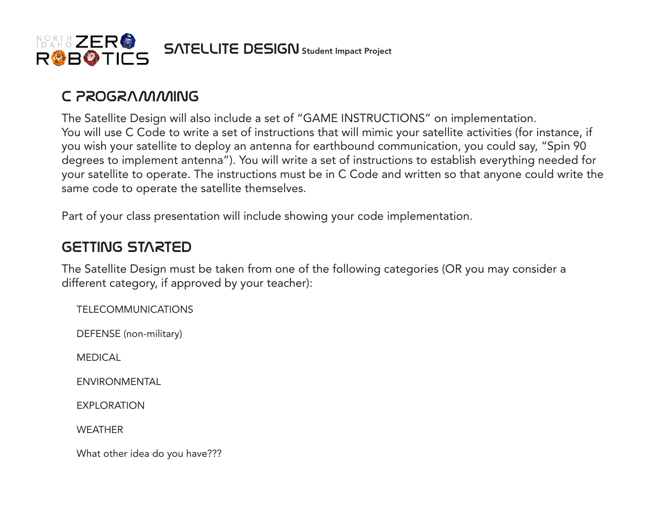

#### C PROGRAMMING

The Satellite Design will also include a set of "GAME INSTRUCTIONS" on implementation. You will use C Code to write a set of instructions that will mimic your satellite activities (for instance, if you wish your satellite to deploy an antenna for earthbound communication, you could say, "Spin 90 degrees to implement antenna"). You will write a set of instructions to establish everything needed for your satellite to operate. The instructions must be in C Code and written so that anyone could write the same code to operate the satellite themselves.

Part of your class presentation will include showing your code implementation.

#### GETTING STARTED

The Satellite Design must be taken from one of the following categories (OR you may consider a different category, if approved by your teacher):

TELECOMMUNICATIONS

DEFENSE (non-military)

MEDICAL

ENVIRONMENTAL

EXPLORATION

**WEATHER** 

What other idea do you have???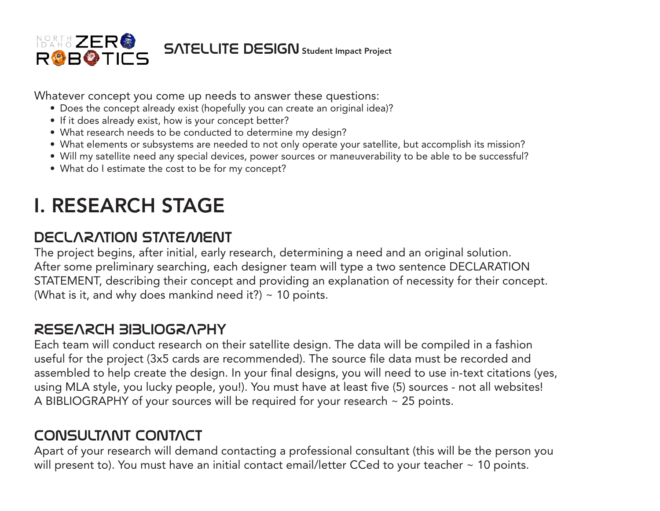

Whatever concept you come up needs to answer these questions:

- Does the concept already exist (hopefully you can create an original idea)?
- If it does already exist, how is your concept better?
- What research needs to be conducted to determine my design?
- What elements or subsystems are needed to not only operate your satellite, but accomplish its mission?
- Will my satellite need any special devices, power sources or maneuverability to be able to be successful?
- What do I estimate the cost to be for my concept?

# I. RESEARCH STAGE

#### DECLARATION STATEMENT

The project begins, after initial, early research, determining a need and an original solution. After some preliminary searching, each designer team will type a two sentence DECLARATION STATEMENT, describing their concept and providing an explanation of necessity for their concept. (What is it, and why does mankind need it?)  $\sim$  10 points.

#### RESEARCH BIBLIOGRAPHY

Each team will conduct research on their satellite design. The data will be compiled in a fashion useful for the project (3x5 cards are recommended). The source file data must be recorded and assembled to help create the design. In your final designs, you will need to use in-text citations (yes, using MLA style, you lucky people, you!). You must have at least five (5) sources - not all websites! A BIBLIOGRAPHY of your sources will be required for your research ~ 25 points.

#### CONSULTANT CONTACT

Apart of your research will demand contacting a professional consultant (this will be the person you will present to). You must have an initial contact email/letter CCed to your teacher ~ 10 points.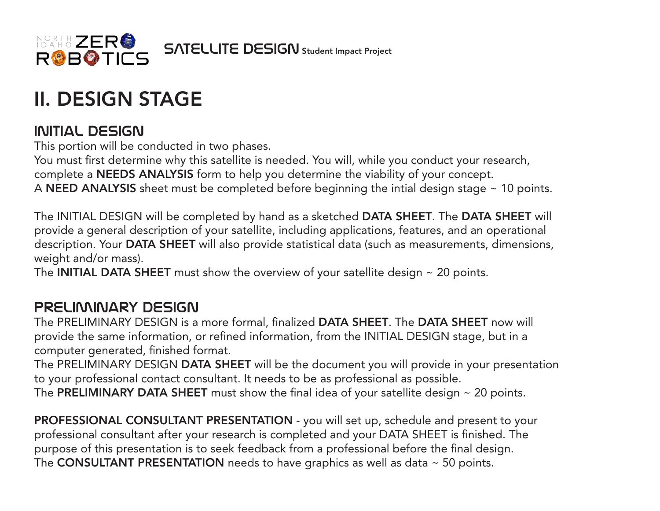

## II. DESIGN STAGE

#### initial design

This portion will be conducted in two phases.

You must first determine why this satellite is needed. You will, while you conduct your research, complete a NEEDS ANALYSIS form to help you determine the viability of your concept. A NEED ANALYSIS sheet must be completed before beginning the intial design stage  $\sim$  10 points.

The INITIAL DESIGN will be completed by hand as a sketched DATA SHEET. The DATA SHEET will provide a general description of your satellite, including applications, features, and an operational description. Your DATA SHEET will also provide statistical data (such as measurements, dimensions, weight and/or mass).

The **INITIAL DATA SHEET** must show the overview of your satellite design  $\sim$  20 points.

#### preliminary design

The PRELIMINARY DESIGN is a more formal, finalized DATA SHEET. The DATA SHEET now will provide the same information, or refined information, from the INITIAL DESIGN stage, but in a computer generated, finished format.

The PRELIMINARY DESIGN DATA SHEET will be the document you will provide in your presentation to your professional contact consultant. It needs to be as professional as possible. The PRELIMINARY DATA SHEET must show the final idea of your satellite design  $\sim$  20 points.

PROFESSIONAL CONSULTANT PRESENTATION - you will set up, schedule and present to your professional consultant after your research is completed and your DATA SHEET is finished. The purpose of this presentation is to seek feedback from a professional before the final design. The CONSULTANT PRESENTATION needs to have graphics as well as data  $\sim$  50 points.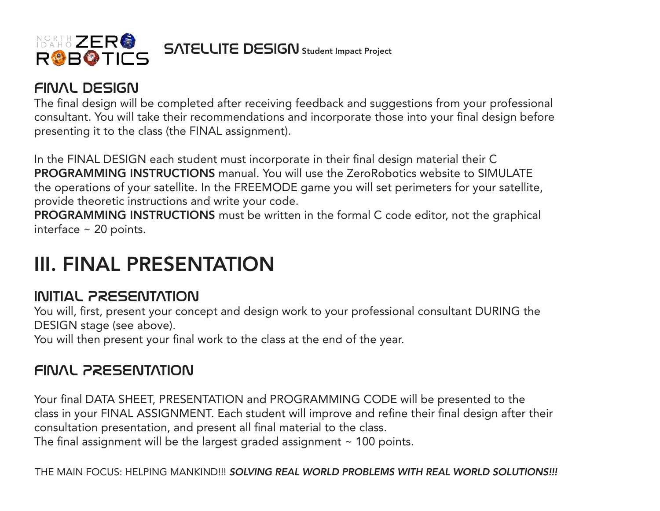

#### FINAL design

The final design will be completed after receiving feedback and suggestions from your professional consultant. You will take their recommendations and incorporate those into your final design before presenting it to the class (the FINAL assignment).

In the FINAL DESIGN each student must incorporate in their final design material their C PROGRAMMING INSTRUCTIONS manual. You will use the ZeroRobotics website to SIMULATE the operations of your satellite. In the FREEMODE game you will set perimeters for your satellite, provide theoretic instructions and write your code.

PROGRAMMING INSTRUCTIONS must be written in the formal C code editor, not the graphical interface  $\sim$  20 points.

### III. FINAL PRESENTATION

#### initial PRESENTATION

You will, first, present your concept and design work to your professional consultant DURING the DESIGN stage (see above).

You will then present your final work to the class at the end of the year.

#### FINAL PRESENTATION

Your final DATA SHEET, PRESENTATION and PROGRAMMING CODE will be presented to the class in your FINAL ASSIGNMENT. Each student will improve and refine their final design after their consultation presentation, and present all final material to the class. The final assignment will be the largest graded assignment  $\sim$  100 points.

THE MAIN FOCUS: HELPING MANKIND!!! *SOLVING REAL WORLD PROBLEMS WITH REAL WORLD SOLUTIONS!!!*